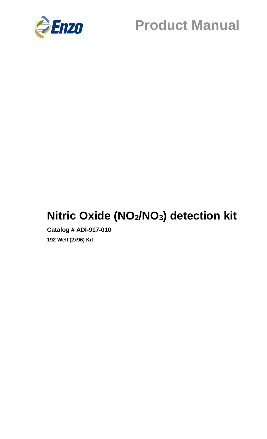

## **Nitric Oxide (NO2/NO3) detection kit**

**Catalog # ADI-917-010 192 Well (2x96) Kit**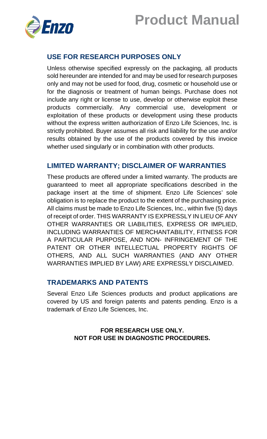



## **USE FOR RESEARCH PURPOSES ONLY**

Unless otherwise specified expressly on the packaging, all products sold hereunder are intended for and may be used for research purposes only and may not be used for food, drug, cosmetic or household use or for the diagnosis or treatment of human beings. Purchase does not include any right or license to use, develop or otherwise exploit these products commercially. Any commercial use, development or exploitation of these products or development using these products without the express written authorization of Enzo Life Sciences, Inc. is strictly prohibited. Buyer assumes all risk and liability for the use and/or results obtained by the use of the products covered by this invoice whether used singularly or in combination with other products.

#### **LIMITED WARRANTY; DISCLAIMER OF WARRANTIES**

These products are offered under a limited warranty. The products are guaranteed to meet all appropriate specifications described in the package insert at the time of shipment. Enzo Life Sciences' sole obligation is to replace the product to the extent of the purchasing price. All claims must be made to Enzo Life Sciences, Inc., within five (5) days of receipt of order. THIS WARRANTY IS EXPRESSLY IN LIEU OF ANY OTHER WARRANTIES OR LIABILITIES, EXPRESS OR IMPLIED, INCLUDING WARRANTIES OF MERCHANTABILITY, FITNESS FOR A PARTICULAR PURPOSE, AND NON- INFRINGEMENT OF THE PATENT OR OTHER INTELLECTUAL PROPERTY RIGHTS OF OTHERS, AND ALL SUCH WARRANTIES (AND ANY OTHER WARRANTIES IMPLIED BY LAW) ARE EXPRESSLY DISCLAIMED.

#### **TRADEMARKS AND PATENTS**

Several Enzo Life Sciences products and product applications are covered by US and foreign patents and patents pending. Enzo is a trademark of Enzo Life Sciences, Inc.

#### **FOR RESEARCH USE ONLY. NOT FOR USE IN DIAGNOSTIC PROCEDURES.**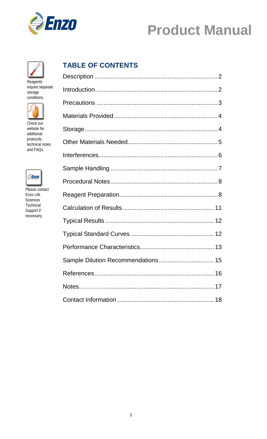



Reagents require separate storage conditions.



Check our website for additional protocols, technical notes and FAQs.



Please contact Enzo Life Sciences Technical Support if necessary.

## **TABLE OF CONTENTS**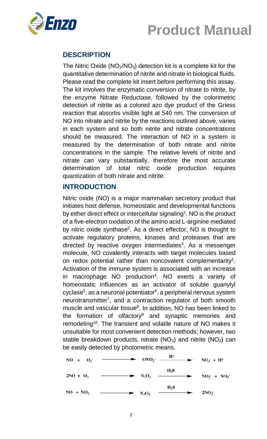

## **DESCRIPTION**

The Nitric Oxide  $(NO<sub>2</sub>/NO<sub>3</sub>)$  detection kit is a complete kit for the quantitative determination of nitrite and nitrate in biological fluids. Please read the complete kit insert before performing this assay. The kit involves the enzymatic conversion of nitrate to nitrite, by the enzyme Nitrate Reductase, followed by the colorimetric detection of nitrite as a colored azo dye product of the Griess reaction that absorbs visible light at 540 nm. The conversion of NO into nitrate and nitrite by the reactions outlined above, varies in each system and so both nitrite and nitrate concentrations should be measured. The interaction of NO in a system is measured by the determination of both nitrate and nitrite concentrations in the sample. The relative levels of nitrite and nitrate can vary substantially, therefore the most accurate determination of total nitric oxide production requires quantization of both nitrate and nitrite.

#### **INTRODUCTION**

Nitric oxide (NO) is a major mammalian secretory product that initiates host defense, homeostatic and developmental functions by either direct effect or intercellular signaling<sup>1</sup>. NO is the product of a five-electron oxidation of the amino acid L-arginine mediated by nitric oxide synthase<sup>2</sup>. As a direct effector, NO is thought to activate regulatory proteins, kinases and proteases that are directed by reactive oxygen intermediates<sup>3</sup>. As a messenger molecule, NO covalently interacts with target molecules based on redox potential rather than noncovalent complementarity<sup>1</sup>. Activation of the immune system is associated with an increase in macrophage NO production<sup>4</sup>. NO exerts a variety of homeostatic influences as an activator of soluble guanylyl cyclase<sup>5</sup>, as a neuronal potentiator<sup>6</sup>, a peripheral nervous system neurotransmitter<sup>7</sup>, and a contraction regulator of both smooth muscle and vascular tissue<sup>8</sup>. In addition, NO has been linked to the formation of olfactory<sup>9</sup> and synaptic memories and remodeling<sup>10</sup>. The transient and volatile nature of NO makes it unsuitable for most convenient detection methods; however, two stable breakdown products, nitrate ( $NO<sub>3</sub>$ ) and nitrite ( $NO<sub>2</sub>$ ) can be easily detected by photometric means.

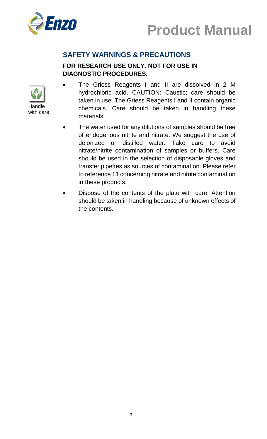



## **SAFETY WARNINGS & PRECAUTIONS**

### **FOR RESEARCH USE ONLY. NOT FOR USE IN DIAGNOSTIC PROCEDURES.**



- The Griess Reagents I and II are dissolved in 2 M hydrochloric acid. CAUTION: Caustic; care should be taken in use. The Griess Reagents I and II contain organic chemicals. Care should be taken in handling these materials.
- The water used for any dilutions of samples should be free of endogenous nitrite and nitrate. We suggest the use of deionized or distilled water. Take care to avoid nitrate/nitrite contamination of samples or buffers. Care should be used in the selection of disposable gloves and transfer pipettes as sources of contamination. Please refer to reference 11 concerning nitrate and nitrite contamination in these products.
- Dispose of the contents of the plate with care. Attention should be taken in handling because of unknown effects of the contents.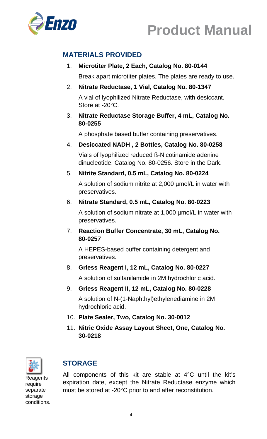



## **MATERIALS PROVIDED**

## 1. **Microtiter Plate, 2 Each, Catalog No. 80-0144**

Break apart microtiter plates. The plates are ready to use.

#### 2. **Nitrate Reductase, 1 Vial, Catalog No. 80-1347**

A vial of lyophilized Nitrate Reductase, with desiccant. Store at -20°C.

#### 3. **Nitrate Reductase Storage Buffer, 4 mL, Catalog No. 80-0255**

A phosphate based buffer containing preservatives.

#### 4. **Desiccated NADH , 2 Bottles, Catalog No. 80-0258**

Vials of lyophilized reduced ß-Nicotinamide adenine dinucleotide, Catalog No. 80-0256. Store in the Dark.

#### 5. **Nitrite Standard, 0.5 mL, Catalog No. 80-0224**

A solution of sodium nitrite at 2,000 µmol/L in water with preservatives.

#### 6. **Nitrate Standard, 0.5 mL, Catalog No. 80-0223**

A solution of sodium nitrate at 1,000 µmol/L in water with preservatives.

#### 7. **Reaction Buffer Concentrate, 30 mL, Catalog No. 80-0257**

A HEPES-based buffer containing detergent and preservatives.

#### 8. **Griess Reagent I, 12 mL, Catalog No. 80-0227**

A solution of sulfanilamide in 2M hydrochloric acid.

#### 9. **Griess Reagent II, 12 mL, Catalog No. 80-0228**

A solution of N-(1-Naphthyl)ethylenediamine in 2M hydrochloric acid.

- 10. **Plate Sealer, Two, Catalog No. 30-0012**
- 11. **Nitric Oxide Assay Layout Sheet, One, Catalog No. 30-0218**



## **STORAGE**

Reagents require separate storage conditions.

All components of this kit are stable at 4°C until the kit's expiration date, except the Nitrate Reductase enzyme which must be stored at -20°C prior to and after reconstitution.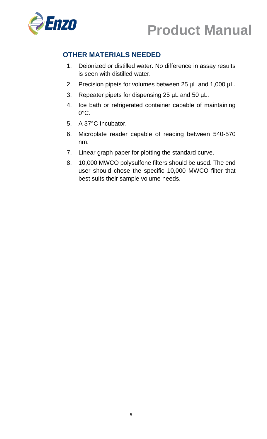



## **OTHER MATERIALS NEEDED**

- 1. Deionized or distilled water. No difference in assay results is seen with distilled water.
- 2. Precision pipets for volumes between 25 µL and 1,000 µL.
- 3. Repeater pipets for dispensing 25 µL and 50 µL.
- 4. Ice bath or refrigerated container capable of maintaining 0°C.
- 5. A 37°C Incubator.
- 6. Microplate reader capable of reading between 540-570 nm.
- 7. Linear graph paper for plotting the standard curve.
- 8. 10,000 MWCO polysulfone filters should be used. The end user should chose the specific 10,000 MWCO filter that best suits their sample volume needs.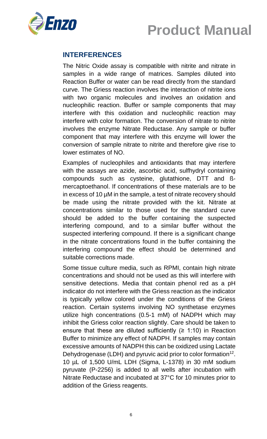



### **INTERFERENCES**

The Nitric Oxide assay is compatible with nitrite and nitrate in samples in a wide range of matrices. Samples diluted into Reaction Buffer or water can be read directly from the standard curve. The Griess reaction involves the interaction of nitrite ions with two organic molecules and involves an oxidation and nucleophilic reaction. Buffer or sample components that may interfere with this oxidation and nucleophilic reaction may interfere with color formation. The conversion of nitrate to nitrite involves the enzyme Nitrate Reductase. Any sample or buffer component that may interfere with this enzyme will lower the conversion of sample nitrate to nitrite and therefore give rise to lower estimates of NO.

Examples of nucleophiles and antioxidants that may interfere with the assays are azide, ascorbic acid, sulfhydryl containing compounds such as cysteine, glutathione, DTT and ßmercaptoethanol. If concentrations of these materials are to be in excess of 10 µM in the sample, a test of nitrate recovery should be made using the nitrate provided with the kit. Nitrate at concentrations similar to those used for the standard curve should be added to the buffer containing the suspected interfering compound, and to a similar buffer without the suspected interfering compound. If there is a significant change in the nitrate concentrations found in the buffer containing the interfering compound the effect should be determined and suitable corrections made.

Some tissue culture media, such as RPMI, contain high nitrate concentrations and should not be used as this will interfere with sensitive detections. Media that contain phenol red as a pH indicator do not interfere with the Griess reaction as the indicator is typically yellow colored under the conditions of the Griess reaction. Certain systems involving NO synthetase enzymes utilize high concentrations (0.5-1 mM) of NADPH which may inhibit the Griess color reaction slightly. Care should be taken to ensure that these are diluted sufficiently  $(≥ 1:10)$  in Reaction Buffer to minimize any effect of NADPH. If samples may contain excessive amounts of NADPH this can be oxidized using Lactate Dehydrogenase (LDH) and pyruvic acid prior to color formation<sup>12</sup>. 10 µL of 1,500 U/mL LDH (Sigma, L-1378) in 30 mM sodium pyruvate (P-2256) is added to all wells after incubation with Nitrate Reductase and incubated at 37°C for 10 minutes prior to addition of the Griess reagents.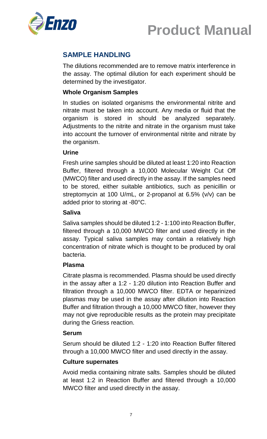



## **SAMPLE HANDLING**

The dilutions recommended are to remove matrix interference in the assay. The optimal dilution for each experiment should be determined by the investigator.

#### **Whole Organism Samples**

In studies on isolated organisms the environmental nitrite and nitrate must be taken into account. Any media or fluid that the organism is stored in should be analyzed separately. Adjustments to the nitrite and nitrate in the organism must take into account the turnover of environmental nitrite and nitrate by the organism.

#### **Urine**

Fresh urine samples should be diluted at least 1:20 into Reaction Buffer, filtered through a 10,000 Molecular Weight Cut Off (MWCO) filter and used directly in the assay. If the samples need to be stored, either suitable antibiotics, such as penicillin or streptomycin at 100 U/mL, or 2-propanol at 6.5% (v/v) can be added prior to storing at -80°C.

#### **Saliva**

Saliva samples should be diluted 1:2 - 1:100 into Reaction Buffer, filtered through a 10,000 MWCO filter and used directly in the assay. Typical saliva samples may contain a relatively high concentration of nitrate which is thought to be produced by oral bacteria.

#### **Plasma**

Citrate plasma is recommended. Plasma should be used directly in the assay after a 1:2 - 1:20 dilution into Reaction Buffer and filtration through a 10,000 MWCO filter. EDTA or heparinized plasmas may be used in the assay after dilution into Reaction Buffer and filtration through a 10,000 MWCO filter, however they may not give reproducible results as the protein may precipitate during the Griess reaction.

#### **Serum**

Serum should be diluted 1:2 - 1:20 into Reaction Buffer filtered through a 10,000 MWCO filter and used directly in the assay.

#### **Culture supernates**

Avoid media containing nitrate salts. Samples should be diluted at least 1:2 in Reaction Buffer and filtered through a 10,000 MWCO filter and used directly in the assay.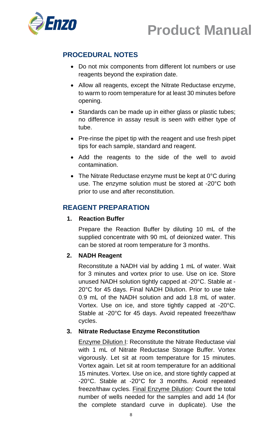



## **PROCEDURAL NOTES**

- Do not mix components from different lot numbers or use reagents beyond the expiration date.
- Allow all reagents, except the Nitrate Reductase enzyme, to warm to room temperature for at least 30 minutes before opening.
- Standards can be made up in either glass or plastic tubes; no difference in assay result is seen with either type of tube.
- Pre-rinse the pipet tip with the reagent and use fresh pipet tips for each sample, standard and reagent.
- Add the reagents to the side of the well to avoid contamination.
- The Nitrate Reductase enzyme must be kept at 0°C during use. The enzyme solution must be stored at -20°C both prior to use and after reconstitution.

### **REAGENT PREPARATION**

#### **1. Reaction Buffer**

Prepare the Reaction Buffer by diluting 10 mL of the supplied concentrate with 90 mL of deionized water. This can be stored at room temperature for 3 months.

#### **2. NADH Reagent**

Reconstitute a NADH vial by adding 1 mL of water. Wait for 3 minutes and vortex prior to use. Use on ice. Store unused NADH solution tightly capped at -20°C. Stable at - 20°C for 45 days. Final NADH Dilution. Prior to use take 0.9 mL of the NADH solution and add 1.8 mL of water. Vortex. Use on ice, and store tightly capped at -20°C. Stable at -20°C for 45 days. Avoid repeated freeze/thaw cycles.

#### **3. Nitrate Reductase Enzyme Reconstitution**

Enzyme Dilution I: Reconstitute the Nitrate Reductase vial with 1 mL of Nitrate Reductase Storage Buffer. Vortex vigorously. Let sit at room temperature for 15 minutes. Vortex again. Let sit at room temperature for an additional 15 minutes. Vortex. Use on ice, and store tightly capped at -20°C. Stable at -20°C for 3 months. Avoid repeated freeze/thaw cycles. Final Enzyme Dilution: Count the total number of wells needed for the samples and add 14 (for the complete standard curve in duplicate). Use the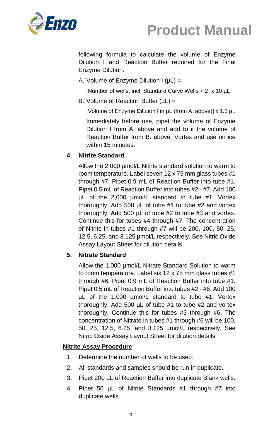

following formula to calculate the volume of Enzyme Dilution I and Reaction Buffer required for the Final Enzyme Dilution.

A. Volume of Enzyme Dilution  $I(\mu L) =$ 

[Number of wells, incl. Standard Curve Wells + 2] x 10 µL

B. Volume of Reaction Buffer  $(\mu L)$  =

[Volume of Enzyme Dilution I in µL (from A. above)] x 1.5 µL

Immediately before use, pipet the volume of Enzyme Dilution I from A. above and add to it the volume of Reaction Buffer from B. above. Vortex and use on ice within 15 minutes.

### **4. Nitrite Standard**

Allow the 2,000 µmol/L Nitrite standard solution to warm to room temperature. Label seven 12 x 75 mm glass tubes #1 through #7. Pipet 0.9 mL of Reaction Buffer into tube #1. Pipet 0.5 mL of Reaction Buffer into tubes #2 - #7. Add 100 µL of the 2,000 µmol/L standard to tube #1. Vortex thoroughly. Add 500  $\mu$ L of tube #1 to tube #2 and vortex thoroughly. Add 500 µL of tube #2 to tube #3 and vortex. Continue this for tubes #4 through #7. The concentration of Nitrite in tubes #1 through #7 will be 200, 100, 50, 25, 12.5, 6.25, and 3.125 µmol/L respectively. See Nitric Oxide Assay Layout Sheet for dilution details.

#### **5. Nitrate Standard**

Allow the 1,000 µmol/L Nitrate Standard Solution to warm to room temperature. Label six 12 x 75 mm glass tubes #1 through #6. Pipet 0.9 mL of Reaction Buffer into tube #1. Pipet 0.5 mL of Reaction Buffer into tubes #2 - #6. Add 100 µL of the 1,000 µmol/L standard to tube #1. Vortex thoroughly. Add 500  $\mu$ L of tube #1 to tube #2 and vortex thoroughly. Continue this for tubes #3 through #6. The concentration of Nitrate in tubes #1 through #6 will be 100, 50, 25, 12.5, 6.25, and 3.125 µmol/L respectively. See Nitric Oxide Assay Layout Sheet for dilution details.

#### **Nitrite Assay Procedure**

- 1. Determine the number of wells to be used.
- 2. All standards and samples should be run in duplicate.
- 3. Pipet 200 µL of Reaction Buffer into duplicate Blank wells.
- 4. Pipet 50 µL of Nitrite Standards #1 through #7 into duplicate wells.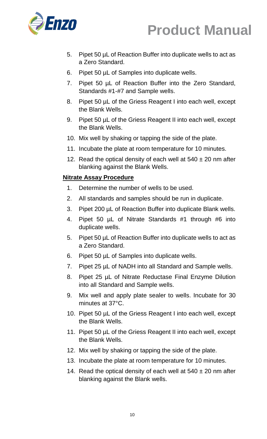

- 5. Pipet 50 µL of Reaction Buffer into duplicate wells to act as a Zero Standard.
- 6. Pipet 50 µL of Samples into duplicate wells.
- 7. Pipet 50 µL of Reaction Buffer into the Zero Standard, Standards #1-#7 and Sample wells.
- 8. Pipet 50 µL of the Griess Reagent I into each well, except the Blank Wells.
- 9. Pipet 50 µL of the Griess Reagent II into each well, except the Blank Wells.
- 10. Mix well by shaking or tapping the side of the plate.
- 11. Incubate the plate at room temperature for 10 minutes.
- 12. Read the optical density of each well at  $540 \pm 20$  nm after blanking against the Blank Wells.

### **Nitrate Assay Procedure**

- 1. Determine the number of wells to be used.
- 2. All standards and samples should be run in duplicate.
- 3. Pipet 200 µL of Reaction Buffer into duplicate Blank wells.
- 4. Pipet 50 µL of Nitrate Standards #1 through #6 into duplicate wells.
- 5. Pipet 50 µL of Reaction Buffer into duplicate wells to act as a Zero Standard.
- 6. Pipet 50 µL of Samples into duplicate wells.
- 7. Pipet 25 µL of NADH into all Standard and Sample wells.
- 8. Pipet 25 µL of Nitrate Reductase Final Enzyme Dilution into all Standard and Sample wells.
- 9. Mix well and apply plate sealer to wells. Incubate for 30 minutes at 37°C.
- 10. Pipet 50 µL of the Griess Reagent I into each well, except the Blank Wells.
- 11. Pipet 50 µL of the Griess Reagent II into each well, except the Blank Wells.
- 12. Mix well by shaking or tapping the side of the plate.
- 13. Incubate the plate at room temperature for 10 minutes.
- 14. Read the optical density of each well at  $540 \pm 20$  nm after blanking against the Blank wells.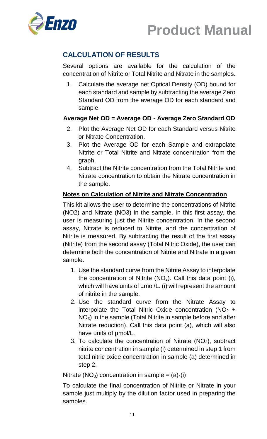



## **CALCULATION OF RESULTS**

Several options are available for the calculation of the concentration of Nitrite or Total Nitrite and Nitrate in the samples.

1. Calculate the average net Optical Density (OD) bound for each standard and sample by subtracting the average Zero Standard OD from the average OD for each standard and sample.

### **Average Net OD = Average OD - Average Zero Standard OD**

- 2. Plot the Average Net OD for each Standard versus Nitrite or Nitrate Concentration.
- 3. Plot the Average OD for each Sample and extrapolate Nitrite or Total Nitrite and Nitrate concentration from the graph.
- 4. Subtract the Nitrite concentration from the Total Nitrite and Nitrate concentration to obtain the Nitrate concentration in the sample.

#### **Notes on Calculation of Nitrite and Nitrate Concentration**

This kit allows the user to determine the concentrations of Nitrite (NO2) and Nitrate (NO3) in the sample. In this first assay, the user is measuring just the Nitrite concentration. In the second assay, Nitrate is reduced to Nitrite, and the concentration of Nitrite is measured. By subtracting the result of the first assay (Nitrite) from the second assay (Total Nitric Oxide), the user can determine both the concentration of Nitrite and Nitrate in a given sample.

- 1. Use the standard curve from the Nitrite Assay to interpolate the concentration of Nitrite  $(NO<sub>2</sub>)$ . Call this data point (i), which will have units of  $\mu$ mol/L. (i) will represent the amount of nitrite in the sample.
- 2. Use the standard curve from the Nitrate Assay to interpolate the Total Nitric Oxide concentration  $(NO<sub>2</sub> +$ NO3) in the sample (Total Nitrite in sample before and after Nitrate reduction). Call this data point (a), which will also have units of µmol/L.
- 3. To calculate the concentration of Nitrate  $(NO<sub>3</sub>)$ , subtract nitrite concentration in sample (i) determined in step 1 from total nitric oxide concentration in sample (a) determined in step 2.

Nitrate (NO<sub>3</sub>) concentration in sample =  $(a)-(i)$ 

To calculate the final concentration of Nitrite or Nitrate in your sample just multiply by the dilution factor used in preparing the samples.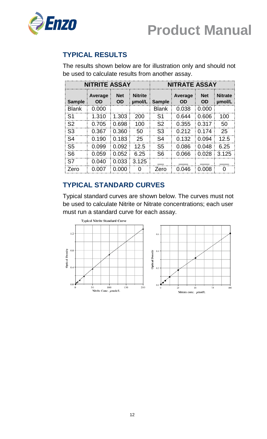

## **TYPICAL RESULTS**

The results shown below are for illustration only and should not be used to calculate results from another assay.

| <b>NITRITE ASSAY</b> |                      |                         | <b>NITRATE ASSAY</b>     |                |                             |                         |                          |
|----------------------|----------------------|-------------------------|--------------------------|----------------|-----------------------------|-------------------------|--------------------------|
| <b>Sample</b>        | Average<br><b>OD</b> | <b>Net</b><br><b>OD</b> | <b>Nitrite</b><br>umol/L | <b>Sample</b>  | <b>Average</b><br><b>OD</b> | <b>Net</b><br><b>OD</b> | <b>Nitrate</b><br>umol/L |
| <b>Blank</b>         | 0.000                |                         |                          | <b>Blank</b>   | 0.038                       | 0.000                   |                          |
| S1                   | 1.310                | 1.303                   | 200                      | S1             | 0.644                       | 0.606                   | 100                      |
| S <sub>2</sub>       | 0.705                | 0.698                   | 100                      | S <sub>2</sub> | 0.355                       | 0.317                   | 50                       |
| S <sub>3</sub>       | 0.367                | 0.360                   | 50                       | S <sub>3</sub> | 0.212                       | 0.174                   | 25                       |
| S <sub>4</sub>       | 0.190                | 0.183                   | 25                       | S <sub>4</sub> | 0.132                       | 0.094                   | 12.5                     |
| S <sub>5</sub>       | 0.099                | 0.092                   | 12.5                     | S5             | 0.086                       | 0.048                   | 6.25                     |
| S <sub>6</sub>       | 0.059                | 0.052                   | 6.25                     | S <sub>6</sub> | 0.066                       | 0.028                   | 3.125                    |
| S7                   | 0.040                | 0.033                   | 3.125                    |                |                             |                         |                          |
| Zero                 | 0.007                | 0.000                   | O                        | Zero           | 0.046                       | 0.008                   | O                        |

## **TYPICAL STANDARD CURVES**

Typical standard curves are shown below. The curves must not be used to calculate Nitrite or Nitrate concentrations; each user must run a standard curve for each assay.

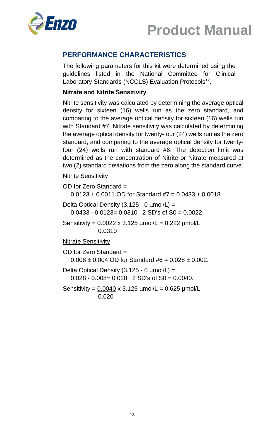



## **PERFORMANCE CHARACTERISTICS**

The following parameters for this kit were determined using the guidelines listed in the National Committee for Clinical Laboratory Standards (NCCLS) Evaluation Protocols<sup>12</sup>.

#### **Nitrate and Nitrite Sensitivity**

Nitrite sensitivity was calculated by determining the average optical density for sixteen (16) wells run as the zero standard, and comparing to the average optical density for sixteen (16) wells run with Standard #7. Nitrate sensitivity was calculated by determining the average optical density for twenty-four (24) wells run as the zero standard, and comparing to the average optical density for twentyfour (24) wells run with standard #6. The detection limit was determined as the concentration of Nitrite or Nitrate measured at two (2) standard deviations from the zero along the standard curve.

#### Nitrite Sensitivity

OD for Zero Standard =  $0.0123 \pm 0.0011$  OD for Standard #7 =  $0.0433 \pm 0.0018$ Delta Optical Density  $(3.125 - 0 \mu \text{mol/L}) =$  $0.0433 - 0.0123 = 0.0310$  2 SD's of S0 = 0.0022 Sensitivity =  $0.0022 \times 3.125 \mu$ mol/L =  $0.222 \mu$ mol/L 0.0310 **Nitrate Sensitivity** OD for Zero Standard =  $0.008 \pm 0.004$  OD for Standard #6 = 0.028  $\pm$  0.002. Delta Optical Density  $(3.125 - 0 \mu \text{mol/L}) =$  $0.028 - 0.008 = 0.020$  2 SD's of S0 = 0.0040. Sensitivity =  $0.0040 \times 3.125 \mu$ mol/L =  $0.625 \mu$ mol/L 0.020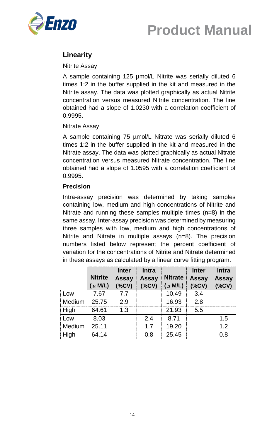



## **Linearity**

#### **Nitrite Assay**

A sample containing 125 µmol/L Nitrite was serially diluted 6 times 1:2 in the buffer supplied in the kit and measured in the Nitrite assay. The data was plotted graphically as actual Nitrite concentration versus measured Nitrite concentration. The line obtained had a slope of 1.0230 with a correlation coefficient of 0.9995.

#### Nitrate Assay

A sample containing 75 µmol/L Nitrate was serially diluted 6 times 1:2 in the buffer supplied in the kit and measured in the Nitrate assay. The data was plotted graphically as actual Nitrate concentration versus measured Nitrate concentration. The line obtained had a slope of 1.0595 with a correlation coefficient of 0.9995.

#### **Precision**

Intra-assay precision was determined by taking samples containing low, medium and high concentrations of Nitrite and Nitrate and running these samples multiple times (n=8) in the same assay. Inter-assay precision was determined by measuring three samples with low, medium and high concentrations of Nitrite and Nitrate in multiple assays (n=8). The precision numbers listed below represent the percent coefficient of variation for the concentrations of Nitrite and Nitrate determined in these assays as calculated by a linear curve fitting program.

|               | <b>Nitrite</b><br>( $\mu$ M/L) | <b>Inter</b><br><b>Assay</b><br>(%CV) | <b>Intra</b><br><b>Assay</b><br>(%CV) | <b>Nitrate</b><br>$(\mu$ M/L) | <b>Inter</b><br><b>Assay</b><br>(%CV) | <b>Intra</b><br><b>Assay</b><br>(%CV) |
|---------------|--------------------------------|---------------------------------------|---------------------------------------|-------------------------------|---------------------------------------|---------------------------------------|
| Low           | 7.67                           | 77                                    |                                       | 10.49                         | 3.4                                   |                                       |
| <b>Medium</b> | 25.75                          | 2.9                                   |                                       | 16.93                         | 2.8                                   |                                       |
| High          | 64.61                          | 1.3                                   |                                       | 21.93                         | 5.5                                   |                                       |
| LOW           | 8.03                           |                                       | 24                                    | 8.71                          |                                       | 1.5                                   |
| Medium        | 25.11                          |                                       | 17                                    | 19.20                         |                                       | 12                                    |
| High          | 64.14                          |                                       | ი გ                                   | 25.45                         |                                       | ი.გ                                   |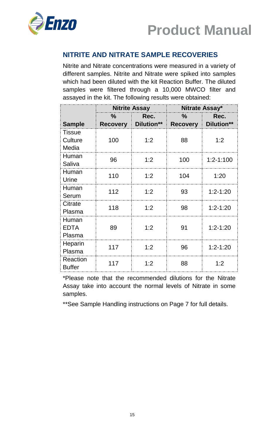



## **NITRITE AND NITRATE SAMPLE RECOVERIES**

Nitrite and Nitrate concentrations were measured in a variety of different samples. Nitrite and Nitrate were spiked into samples which had been diluted with the kit Reaction Buffer. The diluted samples were filtered through a 10,000 MWCO filter and assayed in the kit. The following results were obtained:

|                                   | <b>Nitrite Assay</b>    |                    | Nitrate Assay*          |                    |  |
|-----------------------------------|-------------------------|--------------------|-------------------------|--------------------|--|
| <b>Sample</b>                     | $\%$<br><b>Recovery</b> | Rec.<br>Dilution** | $\%$<br><b>Recovery</b> | Rec.<br>Dilution** |  |
| <b>Tissue</b><br>Culture<br>Media | 100                     | 1:2                | 88                      | 1:2                |  |
| Human<br>Saliva                   | 96                      | 1:2                | 100                     | $1:2 - 1:100$      |  |
| Human<br>Urine                    | 110                     | 1:2                | 104                     | 1:20               |  |
| Human<br>Serum                    | 112                     | 1:2                | 93                      | $1:2 - 1:20$       |  |
| Citrate<br>Plasma                 | 118                     | 1:2                | 98                      | $1:2 - 1:20$       |  |
| Human<br><b>EDTA</b><br>Plasma    | 89                      | 1:2                | 91                      | $1:2 - 1:20$       |  |
| Heparin<br>Plasma                 | 117                     | 1:2                | 96                      | $1:2 - 1:20$       |  |
| Reaction<br><b>Buffer</b>         | 117                     | 1:2                | 88                      | 1:2                |  |

\*Please note that the recommended dilutions for the Nitrate Assay take into account the normal levels of Nitrate in some samples.

\*\*See Sample Handling instructions on Page 7 for full details.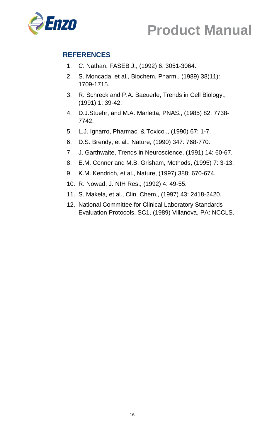



## **REFERENCES**

- 1. C. Nathan, FASEB J., (1992) 6: 3051-3064.
- 2. S. Moncada, et al., Biochem. Pharm., (1989) 38(11): 1709-1715.
- 3. R. Schreck and P.A. Baeuerle, Trends in Cell Biology., (1991) 1: 39-42.
- 4. D.J.Stuehr, and M.A. Marletta, PNAS., (1985) 82: 7738- 7742.
- 5. L.J. Ignarro, Pharmac. & Toxicol., (1990) 67: 1-7.
- 6. D.S. Brendy, et al., Nature, (1990) 347: 768-770.
- 7. J. Garthwaite, Trends in Neuroscience, (1991) 14: 60-67.
- 8. E.M. Conner and M.B. Grisham, Methods, (1995) 7: 3-13.
- 9. K.M. Kendrich, et al., Nature, (1997) 388: 670-674.
- 10. R. Nowad, J. NIH Res., (1992) 4: 49-55.
- 11. S. Makela, et al., Clin. Chem., (1997) 43: 2418-2420.
- 12. National Committee for Clinical Laboratory Standards Evaluation Protocols, SC1, (1989) Villanova, PA: NCCLS.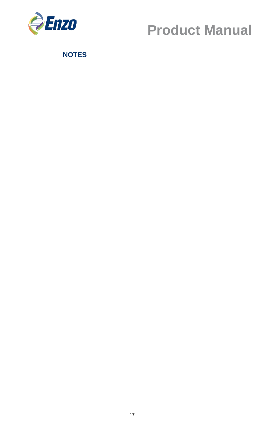

**NOTES**